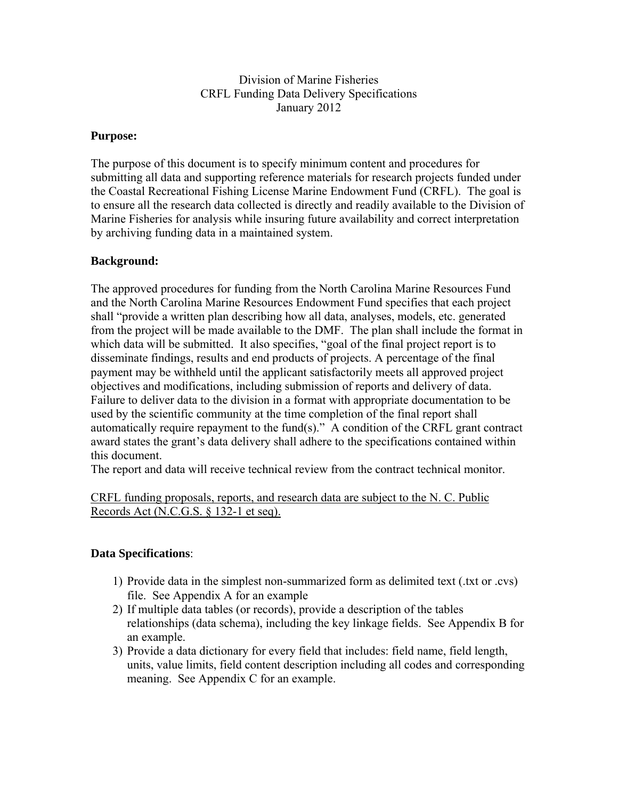# Division of Marine Fisheries CRFL Funding Data Delivery Specifications January 2012

#### **Purpose:**

The purpose of this document is to specify minimum content and procedures for submitting all data and supporting reference materials for research projects funded under the Coastal Recreational Fishing License Marine Endowment Fund (CRFL). The goal is to ensure all the research data collected is directly and readily available to the Division of Marine Fisheries for analysis while insuring future availability and correct interpretation by archiving funding data in a maintained system.

# **Background:**

The approved procedures for funding from the North Carolina Marine Resources Fund and the North Carolina Marine Resources Endowment Fund specifies that each project shall "provide a written plan describing how all data, analyses, models, etc. generated from the project will be made available to the DMF. The plan shall include the format in which data will be submitted. It also specifies, "goal of the final project report is to disseminate findings, results and end products of projects. A percentage of the final payment may be withheld until the applicant satisfactorily meets all approved project objectives and modifications, including submission of reports and delivery of data. Failure to deliver data to the division in a format with appropriate documentation to be used by the scientific community at the time completion of the final report shall automatically require repayment to the fund(s)." A condition of the CRFL grant contract award states the grant's data delivery shall adhere to the specifications contained within this document.

The report and data will receive technical review from the contract technical monitor.

CRFL funding proposals, reports, and research data are subject to the N. C. Public Records Act (N.C.G.S. § 132-1 et seq).

# **Data Specifications**:

- 1) Provide data in the simplest non-summarized form as delimited text (.txt or .cvs) file. See Appendix A for an example
- 2) If multiple data tables (or records), provide a description of the tables relationships (data schema), including the key linkage fields. See Appendix B for an example.
- 3) Provide a data dictionary for every field that includes: field name, field length, units, value limits, field content description including all codes and corresponding meaning. See Appendix C for an example.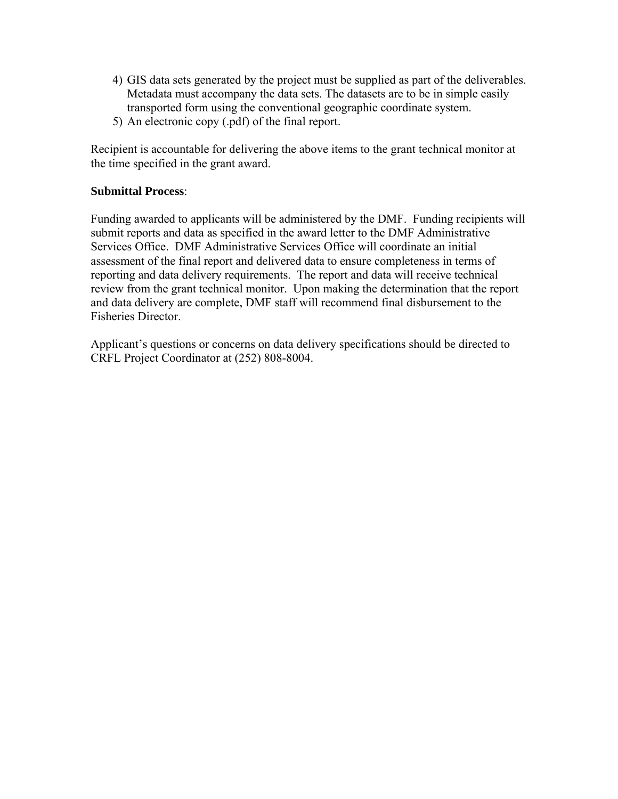- 4) GIS data sets generated by the project must be supplied as part of the deliverables. Metadata must accompany the data sets. The datasets are to be in simple easily transported form using the conventional geographic coordinate system.
- 5) An electronic copy (.pdf) of the final report.

Recipient is accountable for delivering the above items to the grant technical monitor at the time specified in the grant award.

#### **Submittal Process**:

Funding awarded to applicants will be administered by the DMF. Funding recipients will submit reports and data as specified in the award letter to the DMF Administrative Services Office. DMF Administrative Services Office will coordinate an initial assessment of the final report and delivered data to ensure completeness in terms of reporting and data delivery requirements. The report and data will receive technical review from the grant technical monitor. Upon making the determination that the report and data delivery are complete, DMF staff will recommend final disbursement to the Fisheries Director.

Applicant's questions or concerns on data delivery specifications should be directed to CRFL Project Coordinator at (252) 808-8004.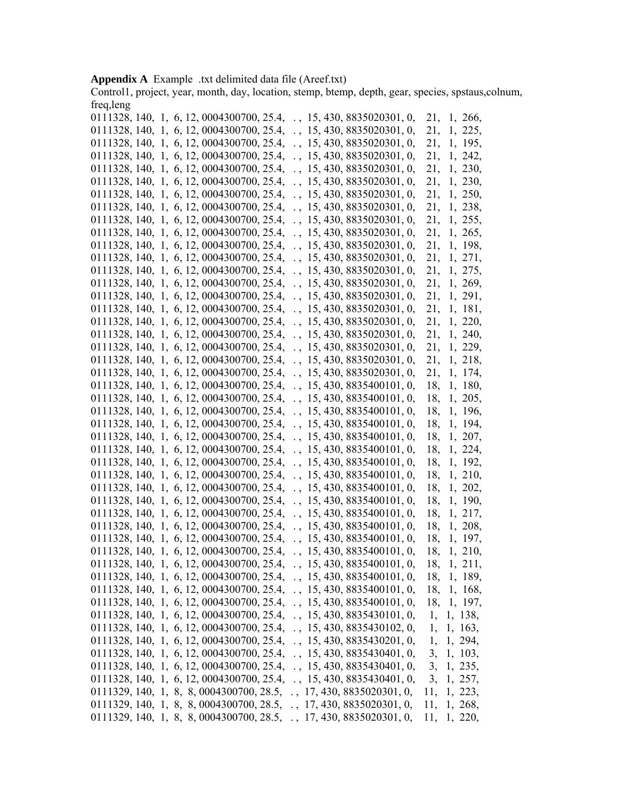#### **Appendix A** Example .txt delimited data file (Areef.txt)

Control1, project, year, month, day, location, stemp, btemp, depth, gear, species, spstaus,colnum, freq,leng

| $0111328, 140, 1, 6, 12, 0004300700, 25.4, ., 15, 430, 8835020301, 0,$  |                                    | 21, 1, 266,    |
|-------------------------------------------------------------------------|------------------------------------|----------------|
| 0111328, 140, 1, 6, 12, 0004300700, 25.4, ., 15, 430, 8835020301, 0,    |                                    | 21, 1, 225,    |
| 0111328, 140, 1, 6, 12, 0004300700, 25.4, ., 15, 430, 8835020301, 0,    |                                    | 21, 1, 195,    |
| 0111328, 140, 1, 6, 12, 0004300700, 25.4, ., 15, 430, 8835020301, 0,    |                                    | 21, 1, 242,    |
| 0111328, 140, 1, 6, 12, 0004300700, 25.4, ., 15, 430, 8835020301, 0,    |                                    | 21, 1, 230,    |
| 0111328, 140, 1, 6, 12, 0004300700, 25.4,                               | $\ldots$ , 15, 430, 8835020301, 0, | 21, 1, 230,    |
| 0111328, 140, 1, 6, 12, 0004300700, 25.4,                               | $\ldots$ , 15, 430, 8835020301, 0, | 21, 1, 250,    |
| 0111328, 140, 1, 6, 12, 0004300700, 25.4,                               | $\ldots$ , 15, 430, 8835020301, 0, | 21, 1, 238,    |
| 0111328, 140, 1, 6, 12, 0004300700, 25.4,                               | $\ldots$ , 15, 430, 8835020301, 0, | 21, 1, 255,    |
| 0111328, 140, 1, 6, 12, 0004300700, 25.4,                               | $\ldots$ , 15, 430, 8835020301, 0, | 21, 1, 265,    |
| 0111328, 140, 1, 6, 12, 0004300700, 25.4,                               | $\ldots$ , 15, 430, 8835020301, 0, | 21, 1, 198,    |
| 0111328, 140, 1, 6, 12, 0004300700, 25.4,                               | $\ldots$ , 15, 430, 8835020301, 0, | 21, 1, 271,    |
| 0111328, 140, 1, 6, 12, 0004300700, 25.4,                               | $\ldots$ , 15, 430, 8835020301, 0, | 21, 1, 275,    |
| 0111328, 140, 1, 6, 12, 0004300700, 25.4,                               | $\ldots$ , 15, 430, 8835020301, 0, | 21, 1, 269,    |
| 0111328, 140, 1, 6, 12, 0004300700, 25.4,                               | $\ldots$ , 15, 430, 8835020301, 0, | 21, 1, 291,    |
| 0111328, 140, 1, 6, 12, 0004300700, 25.4,                               | $\ldots$ , 15, 430, 8835020301, 0, | 21, 1, 181,    |
| 0111328, 140, 1, 6, 12, 0004300700, 25.4,                               | $\ldots$ , 15, 430, 8835020301, 0, | 21, 1, 220,    |
| 0111328, 140, 1, 6, 12, 0004300700, 25.4,                               | $\ldots$ , 15, 430, 8835020301, 0, | 21, 1, 240,    |
| 0111328, 140, 1, 6, 12, 0004300700, 25.4,                               | $\ldots$ , 15, 430, 8835020301, 0, | 21, 1, 229,    |
| 0111328, 140, 1, 6, 12, 0004300700, 25.4,                               | $\ldots$ , 15, 430, 8835020301, 0, | 21, 1, 218,    |
| 0111328, 140, 1, 6, 12, 0004300700, 25.4,                               | $\ldots$ , 15, 430, 8835020301, 0, | 21, 1, 174,    |
| 0111328, 140, 1, 6, 12, 0004300700, 25.4,                               | $\ldots$ , 15, 430, 8835400101, 0, | 18, 1, 180,    |
| 0111328, 140, 1, 6, 12, 0004300700, 25.4,                               | $\ldots$ , 15, 430, 8835400101, 0, | 18, 1, 205,    |
| 0111328, 140, 1, 6, 12, 0004300700, 25.4,                               | $\ldots$ , 15, 430, 8835400101, 0, | 18, 1, 196,    |
| 0111328, 140, 1, 6, 12, 0004300700, 25.4,                               | $\ldots$ , 15, 430, 8835400101, 0, | 18, 1, 194,    |
| 0111328, 140, 1, 6, 12, 0004300700, 25.4,                               | $\ldots$ , 15, 430, 8835400101, 0, | 18,<br>1, 207, |
| 0111328, 140, 1, 6, 12, 0004300700, 25.4,                               | $\ldots$ , 15, 430, 8835400101, 0, | 18,<br>1, 224, |
| 0111328, 140, 1, 6, 12, 0004300700, 25.4,                               | $\ldots$ , 15, 430, 8835400101, 0, | 18,<br>1, 192, |
| 0111328, 140, 1, 6, 12, 0004300700, 25.4,                               | $\ldots$ , 15, 430, 8835400101, 0, | 18,<br>1, 210, |
| 0111328, 140, 1, 6, 12, 0004300700, 25.4,                               | $\ldots$ , 15, 430, 8835400101, 0, | 18,<br>1, 202, |
| 0111328, 140, 1, 6, 12, 0004300700, 25.4,                               | $\ldots$ , 15, 430, 8835400101, 0, | 18,<br>1, 190, |
| 0111328, 140, 1, 6, 12, 0004300700, 25.4,                               | $\ldots$ , 15, 430, 8835400101, 0, | 18, 1, 217,    |
| 0111328, 140, 1, 6, 12, 0004300700, 25.4,                               | $\ldots$ , 15, 430, 8835400101, 0, | 18, 1, 208,    |
| 0111328, 140, 1, 6, 12, 0004300700, 25.4,                               | $\ldots$ , 15, 430, 8835400101, 0, | 18, 1, 197,    |
| 0111328, 140, 1, 6, 12, 0004300700, 25.4,                               | $\ldots$ , 15, 430, 8835400101, 0, | 18, 1, 210,    |
| 0111328, 140, 1, 6, 12, 0004300700, 25.4, ., 15, 430, 8835400101, 0,    |                                    | 18, 1, 211,    |
| $0111328, 140, 1, 6, 12, 0004300700, 25.4, ., 15, 430, 8835400101, 0,$  |                                    | 18, 1, 189,    |
| $0111328, 140, 1, 6, 12, 0004300700, 25.4, .$ , 15, 430, 8835400101, 0, |                                    | 18, 1, 168,    |
| $0111328, 140, 1, 6, 12, 0004300700, 25.4, ., 15, 430, 8835400101, 0,$  |                                    | 18, 1, 197,    |
| $0111328, 140, 1, 6, 12, 0004300700, 25.4, ., 15, 430, 8835430101, 0,$  |                                    | 1, 1, 138,     |
| 0111328, 140, 1, 6, 12, 0004300700, 25.4, ., 15, 430, 8835430102, 0,    |                                    | 1, 1, 163,     |
| $0111328, 140, 1, 6, 12, 0004300700, 25.4, ., 15, 430, 8835430201, 0,$  |                                    | 1, 1, 294,     |
| $0111328, 140, 1, 6, 12, 0004300700, 25.4, ., 15, 430, 8835430401, 0,$  |                                    | 3, 1, 103,     |
| 0111328, 140, 1, 6, 12, 0004300700, 25.4, ., 15, 430, 8835430401, 0,    |                                    | 3, 1, 235,     |
| $0111328, 140, 1, 6, 12, 0004300700, 25.4, ., 15, 430, 8835430401, 0,$  |                                    | 3, 1, 257,     |
| $0111329, 140, 1, 8, 8, 0004300700, 28.5, ., 17, 430, 8835020301, 0,$   |                                    | 11, 1, 223,    |
| $0111329, 140, 1, 8, 8, 0004300700, 28.5, ., 17, 430, 8835020301, 0,$   |                                    | 11, 1, 268,    |
| $0111329, 140, 1, 8, 8, 0004300700, 28.5, ., 17, 430, 8835020301, 0,$   |                                    | 11, 1, 220,    |
|                                                                         |                                    |                |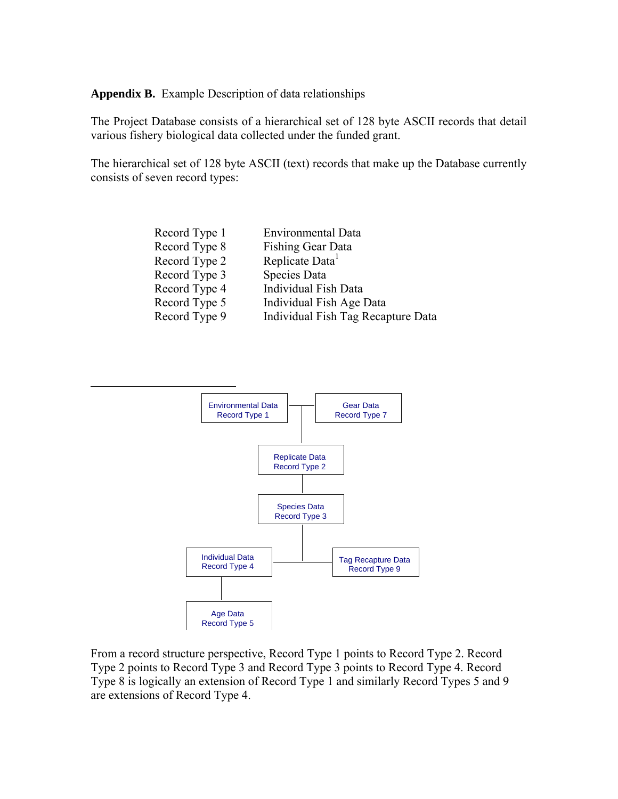**Appendix B.** Example Description of data relationships

 $\overline{a}$ 

The Project Database consists of a hierarchical set of 128 byte ASCII records that detail various fishery biological data collected under the funded grant.

The hierarchical set of 128 byte ASCII (text) records that make up the Database currently consists of seven record types:

| <b>Environmental Data</b>          |
|------------------------------------|
| Fishing Gear Data                  |
| Replicate Data <sup>1</sup>        |
| Species Data                       |
| <b>Individual Fish Data</b>        |
| Individual Fish Age Data           |
| Individual Fish Tag Recapture Data |
|                                    |



From a record structure perspective, Record Type 1 points to Record Type 2. Record Type 2 points to Record Type 3 and Record Type 3 points to Record Type 4. Record Type 8 is logically an extension of Record Type 1 and similarly Record Types 5 and 9 are extensions of Record Type 4.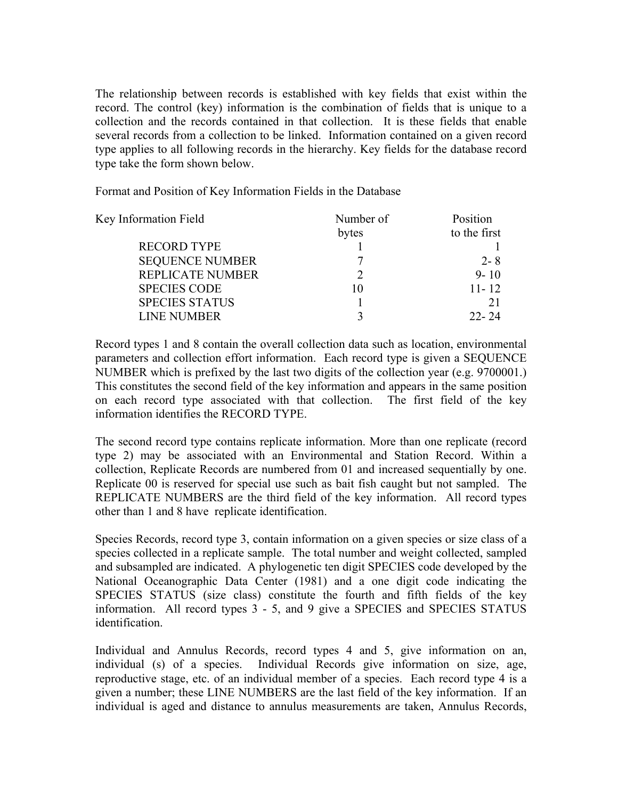The relationship between records is established with key fields that exist within the record. The control (key) information is the combination of fields that is unique to a collection and the records contained in that collection. It is these fields that enable several records from a collection to be linked. Information contained on a given record type applies to all following records in the hierarchy. Key fields for the database record type take the form shown below.

Format and Position of Key Information Fields in the Database

| Number of | Position     |
|-----------|--------------|
| bytes     | to the first |
|           |              |
|           | $2 - 8$      |
|           | $9 - 10$     |
| 10        | $11 - 12$    |
|           |              |
|           | $22 - 24$    |
|           |              |

Record types 1 and 8 contain the overall collection data such as location, environmental parameters and collection effort information. Each record type is given a SEQUENCE NUMBER which is prefixed by the last two digits of the collection year (e.g. 9700001.) This constitutes the second field of the key information and appears in the same position on each record type associated with that collection. The first field of the key information identifies the RECORD TYPE.

The second record type contains replicate information. More than one replicate (record type 2) may be associated with an Environmental and Station Record. Within a collection, Replicate Records are numbered from 01 and increased sequentially by one. Replicate 00 is reserved for special use such as bait fish caught but not sampled. The REPLICATE NUMBERS are the third field of the key information. All record types other than 1 and 8 have replicate identification.

Species Records, record type 3, contain information on a given species or size class of a species collected in a replicate sample. The total number and weight collected, sampled and subsampled are indicated. A phylogenetic ten digit SPECIES code developed by the National Oceanographic Data Center (1981) and a one digit code indicating the SPECIES STATUS (size class) constitute the fourth and fifth fields of the key information. All record types 3 - 5, and 9 give a SPECIES and SPECIES STATUS identification.

Individual and Annulus Records, record types 4 and 5, give information on an, individual (s) of a species. Individual Records give information on size, age, reproductive stage, etc. of an individual member of a species. Each record type 4 is a given a number; these LINE NUMBERS are the last field of the key information. If an individual is aged and distance to annulus measurements are taken, Annulus Records,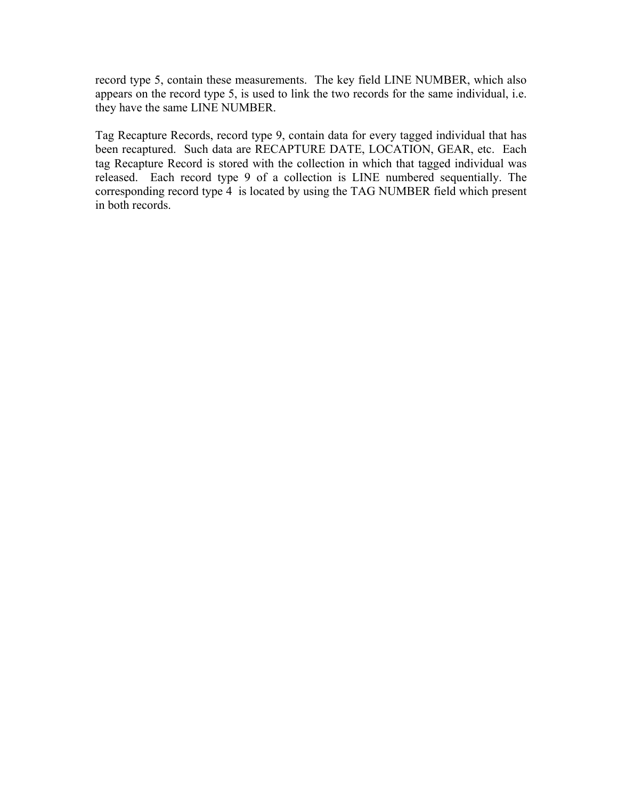record type 5, contain these measurements. The key field LINE NUMBER, which also appears on the record type 5, is used to link the two records for the same individual, i.e. they have the same LINE NUMBER.

Tag Recapture Records, record type 9, contain data for every tagged individual that has been recaptured. Such data are RECAPTURE DATE, LOCATION, GEAR, etc. Each tag Recapture Record is stored with the collection in which that tagged individual was released. Each record type 9 of a collection is LINE numbered sequentially. The corresponding record type 4 is located by using the TAG NUMBER field which present in both records.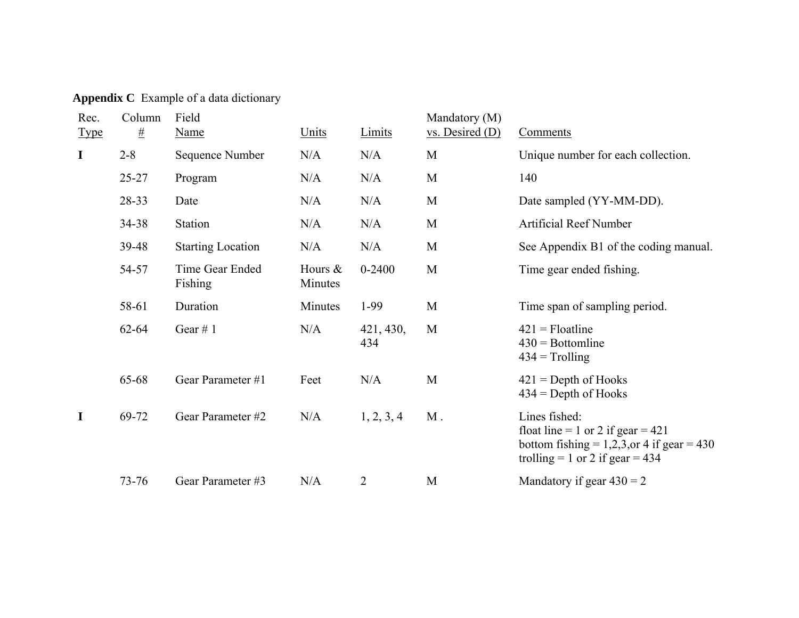**Appendix C** Example of a data dictionary

| Rec.<br><b>Type</b> | Column<br>$\frac{\mu}{2}$ | Field<br><b>Name</b>       | Units                 | Limits           | Mandatory (M)<br>vs. Desired (D) | Comments                                                                                                                                    |
|---------------------|---------------------------|----------------------------|-----------------------|------------------|----------------------------------|---------------------------------------------------------------------------------------------------------------------------------------------|
| $\mathbf I$         | $2 - 8$                   | Sequence Number            | N/A                   | N/A              | M                                | Unique number for each collection.                                                                                                          |
|                     | $25 - 27$                 | Program                    | N/A                   | N/A              | M                                | 140                                                                                                                                         |
|                     | 28-33                     | Date                       | N/A                   | N/A              | M                                | Date sampled (YY-MM-DD).                                                                                                                    |
|                     | $34 - 38$                 | Station                    | N/A                   | N/A              | M                                | <b>Artificial Reef Number</b>                                                                                                               |
|                     | 39-48                     | <b>Starting Location</b>   | N/A                   | N/A              | M                                | See Appendix B1 of the coding manual.                                                                                                       |
|                     | 54-57                     | Time Gear Ended<br>Fishing | Hours $\&$<br>Minutes | $0 - 2400$       | M                                | Time gear ended fishing.                                                                                                                    |
|                     | 58-61                     | Duration                   | Minutes               | $1-99$           | M                                | Time span of sampling period.                                                                                                               |
|                     | $62 - 64$                 | Gear $# 1$                 | N/A                   | 421, 430,<br>434 | M                                | $421$ = Floatline<br>$430 =$ Bottomline<br>$434 =$ Trolling                                                                                 |
|                     | 65-68                     | Gear Parameter #1          | Feet                  | N/A              | M                                | $421$ = Depth of Hooks<br>$434$ = Depth of Hooks                                                                                            |
| I                   | 69-72                     | Gear Parameter #2          | N/A                   | 1, 2, 3, 4       | $M$ .                            | Lines fished:<br>float line = 1 or 2 if gear = $421$<br>bottom fishing $= 1,2,3,$ or 4 if gear $= 430$<br>trolling = 1 or 2 if gear = $434$ |
|                     | $73 - 76$                 | Gear Parameter #3          | N/A                   | $\overline{2}$   | M                                | Mandatory if gear $430 = 2$                                                                                                                 |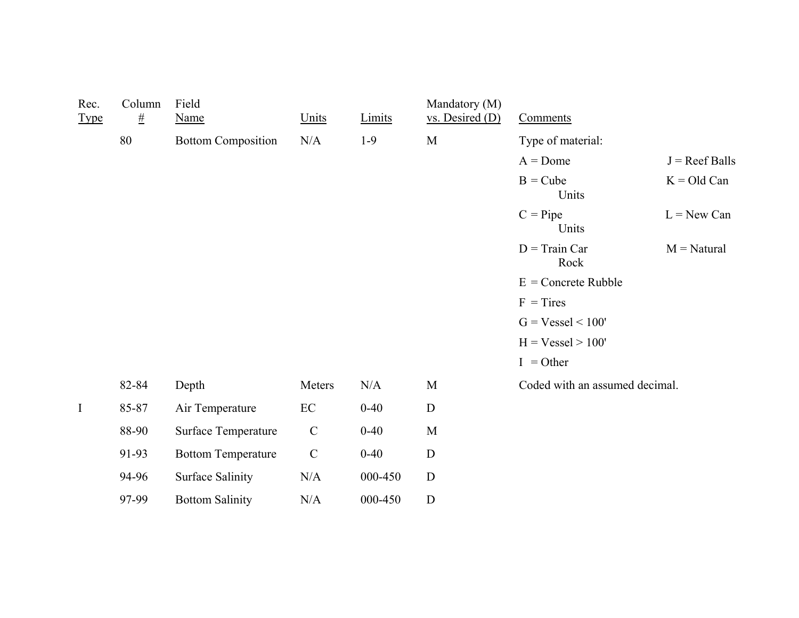| Rec.<br><b>Type</b> | Column<br>$\#$ | Field<br><b>Name</b>      | Units         | Limits   | Mandatory (M)<br>$vs.$ Desired $(D)$ | Comments                       |                  |
|---------------------|----------------|---------------------------|---------------|----------|--------------------------------------|--------------------------------|------------------|
|                     | 80             | <b>Bottom Composition</b> | N/A           | $1-9$    | M                                    | Type of material:              |                  |
|                     |                |                           |               |          |                                      | $A =$ Dome                     | $J =$ Reef Balls |
|                     |                |                           |               |          |                                      | $B = Cube$<br>Units            | $K = Old Can$    |
|                     |                |                           |               |          |                                      | $C =$ Pipe<br>Units            | $L = New Can$    |
|                     |                |                           |               |          |                                      | $D = Train Car$<br>Rock        | $M = Natural$    |
|                     |                |                           |               |          |                                      | $E =$ Concrete Rubble          |                  |
|                     |                |                           |               |          |                                      | $F = Tires$                    |                  |
|                     |                |                           |               |          |                                      | $G = Vessel \le 100'$          |                  |
|                     |                |                           |               |          |                                      | $H = Vessel > 100'$            |                  |
|                     |                |                           |               |          |                                      | $I = Other$                    |                  |
|                     | 82-84          | Depth                     | Meters        | N/A      | $\mathbf M$                          | Coded with an assumed decimal. |                  |
| $\mathbf I$         | 85-87          | Air Temperature           | $\rm EC$      | $0 - 40$ | ${\bf D}$                            |                                |                  |
|                     | 88-90          | Surface Temperature       | $\mathcal{C}$ | $0 - 40$ | $\mathbf M$                          |                                |                  |
|                     | 91-93          | <b>Bottom Temperature</b> | $\mathcal{C}$ | $0 - 40$ | $\mathbf D$                          |                                |                  |
|                     | 94-96          | <b>Surface Salinity</b>   | N/A           | 000-450  | $\mathbf D$                          |                                |                  |
|                     | 97-99          | <b>Bottom Salinity</b>    | N/A           | 000-450  | $\mathbf D$                          |                                |                  |
|                     |                |                           |               |          |                                      |                                |                  |